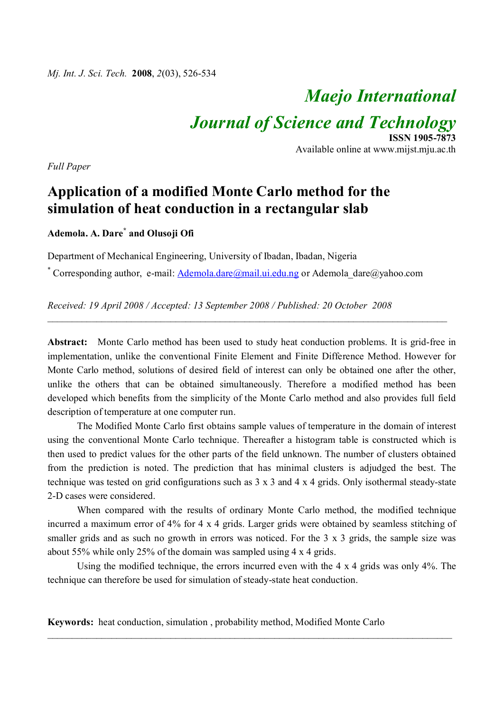# *Maejo International*

*Journal of Science and Technology*

**ISSN 1905-7873** Available online at www.mijst.mju.ac.th

*Full Paper*

# **Application of a modified Monte Carlo method for the simulation of heat conduction in a rectangular slab**

# **Ademola. A. Dare\* and Olusoji Ofi**

Department of Mechanical Engineering, University of Ibadan, Ibadan, Nigeria

\* Corresponding author, e-mail: Ademola.dare@mail.ui.edu.ng or Ademola dare@yahoo.com

*Received: 19 April 2008 / Accepted: 13 September 2008 / Published: 20 October 2008*

**Abstract:** Monte Carlo method has been used to study heat conduction problems. It is grid-free in implementation, unlike the conventional Finite Element and Finite Difference Method. However for Monte Carlo method, solutions of desired field of interest can only be obtained one after the other, unlike the others that can be obtained simultaneously. Therefore a modified method has been developed which benefits from the simplicity of the Monte Carlo method and also provides full field description of temperature at one computer run.

\_\_\_\_\_\_\_\_\_\_\_\_\_\_\_\_\_\_\_\_\_\_\_\_\_\_\_\_\_\_\_\_\_\_\_\_\_\_\_\_\_\_\_\_\_\_\_\_\_\_\_\_\_\_\_\_\_\_\_\_\_\_\_\_\_\_\_\_\_\_\_\_\_\_\_\_\_\_\_\_\_

The Modified Monte Carlo first obtains sample values of temperature in the domain of interest using the conventional Monte Carlo technique. Thereafter a histogram table is constructed which is then used to predict values for the other parts of the field unknown. The number of clusters obtained from the prediction is noted. The prediction that has minimal clusters is adjudged the best. The technique was tested on grid configurations such as 3 x 3 and 4 x 4 grids. Only isothermal steady-state 2-D cases were considered.

When compared with the results of ordinary Monte Carlo method, the modified technique incurred a maximum error of 4% for 4 x 4 grids. Larger grids were obtained by seamless stitching of smaller grids and as such no growth in errors was noticed. For the 3 x 3 grids, the sample size was about 55% while only 25% of the domain was sampled using 4 x 4 grids.

Using the modified technique, the errors incurred even with the 4 x 4 grids was only 4%. The technique can therefore be used for simulation of steady-state heat conduction.

\_\_\_\_\_\_\_\_\_\_\_\_\_\_\_\_\_\_\_\_\_\_\_\_\_\_\_\_\_\_\_\_\_\_\_\_\_\_\_\_\_\_\_\_\_\_\_\_\_\_\_\_\_\_\_\_\_\_\_\_\_\_\_\_\_\_\_\_\_\_\_\_\_\_\_\_\_\_\_\_\_\_

**Keywords:** heat conduction, simulation , probability method, Modified Monte Carlo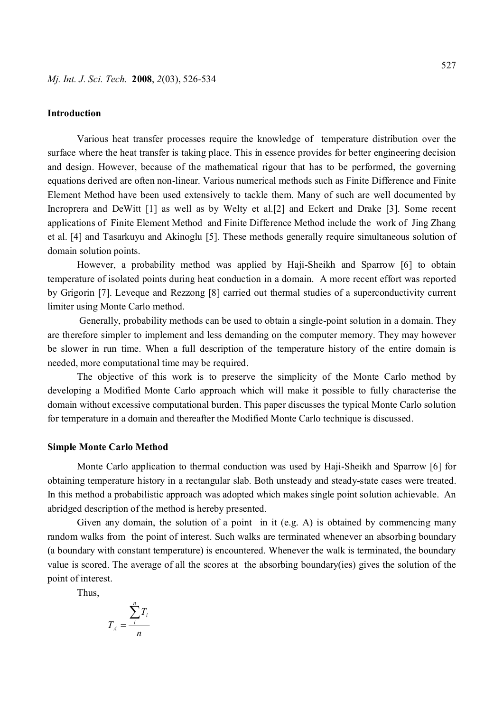#### **Introduction**

Various heat transfer processes require the knowledge of temperature distribution over the surface where the heat transfer is taking place. This in essence provides for better engineering decision and design. However, because of the mathematical rigour that has to be performed, the governing equations derived are often non-linear. Various numerical methods such as Finite Difference and Finite Element Method have been used extensively to tackle them. Many of such are well documented by Incroprera and DeWitt [1] as well as by Welty et al.[2] and Eckert and Drake [3]. Some recent applications of Finite Element Method and Finite Difference Method include the work of Jing Zhang et al. [4] and Tasarkuyu and Akinoglu [5]. These methods generally require simultaneous solution of domain solution points.

However, a probability method was applied by Haji-Sheikh and Sparrow [6] to obtain temperature of isolated points during heat conduction in a domain. A more recent effort was reported by Grigorin [7]. Leveque and Rezzong [8] carried out thermal studies of a superconductivity current limiter using Monte Carlo method.

 Generally, probability methods can be used to obtain a single-point solution in a domain. They are therefore simpler to implement and less demanding on the computer memory. They may however be slower in run time. When a full description of the temperature history of the entire domain is needed, more computational time may be required.

The objective of this work is to preserve the simplicity of the Monte Carlo method by developing a Modified Monte Carlo approach which will make it possible to fully characterise the domain without excessive computational burden. This paper discusses the typical Monte Carlo solution for temperature in a domain and thereafter the Modified Monte Carlo technique is discussed.

#### **Simple Monte Carlo Method**

Monte Carlo application to thermal conduction was used by Haji-Sheikh and Sparrow [6] for obtaining temperature history in a rectangular slab. Both unsteady and steady-state cases were treated. In this method a probabilistic approach was adopted which makes single point solution achievable. An abridged description of the method is hereby presented.

Given any domain, the solution of a point in it (e.g. A) is obtained by commencing many random walks from the point of interest. Such walks are terminated whenever an absorbing boundary (a boundary with constant temperature) is encountered. Whenever the walk is terminated, the boundary value is scored. The average of all the scores at the absorbing boundary(ies) gives the solution of the point of interest.

Thus,

$$
T_A = \frac{\sum_i T_i}{n}
$$

*n*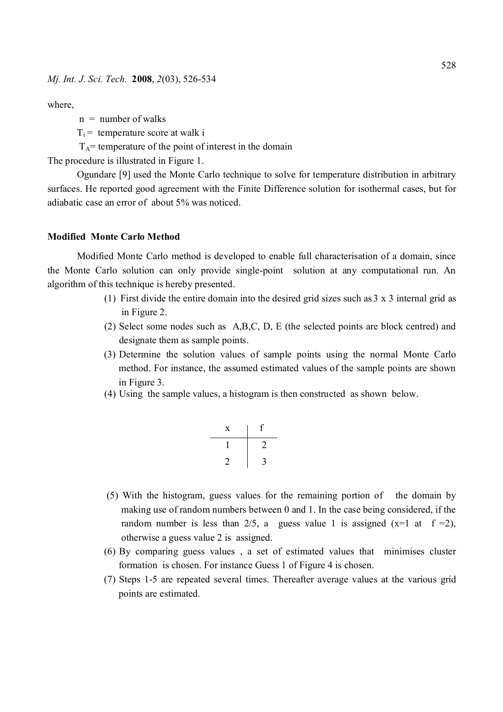where,

- $n =$  number of walks
- $T_i$  = temperature score at walk i
- $T_A$ = temperature of the point of interest in the domain

The procedure is illustrated in Figure 1.

Ogundare [9] used the Monte Carlo technique to solve for temperature distribution in arbitrary surfaces. He reported good agreement with the Finite Difference solution for isothermal cases, but for adiabatic case an error of about 5% was noticed.

#### **Modified Monte Carlo Method**

Modified Monte Carlo method is developed to enable full characterisation of a domain, since the Monte Carlo solution can only provide single-point solution at any computational run. An algorithm of this technique is hereby presented.

- (1) First divide the entire domain into the desired grid sizes such as 3 x 3 internal grid as in Figure 2.
- (2) Select some nodes such as A,B,C, D, E (the selected points are block centred) and designate them as sample points.
- (3) Determine the solution values of sample points using the normal Monte Carlo method. For instance, the assumed estimated values of the sample points are shown in Figure 3.
- (4) Using the sample values, a histogram is then constructed as shown below.

| X | ţ. |
|---|----|
|   |    |
|   |    |

- (5) With the histogram, guess values for the remaining portion of the domain by making use of random numbers between 0 and 1. In the case being considered, if the random number is less than 2/5, a guess value 1 is assigned  $(x=1 \text{ at } f=2)$ , otherwise a guess value 2 is assigned.
- (6) By comparing guess values , a set of estimated values that minimises cluster formation is chosen. For instance Guess 1 of Figure 4 is chosen.
- (7) Steps 1-5 are repeated several times. Thereafter average values at the various grid points are estimated.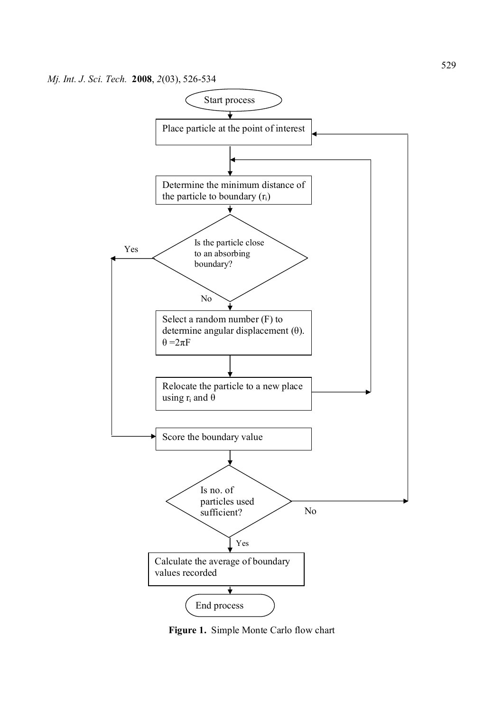

**Figure 1.** Simple Monte Carlo flow chart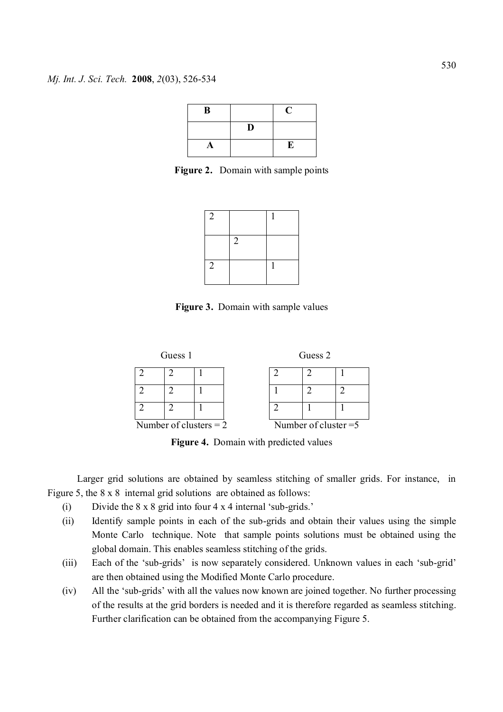| B |    | C |
|---|----|---|
|   | D. |   |
| A |    | E |

Figure 2. Domain with sample points



**Figure 3.** Domain with sample values



**Figure 4.** Domain with predicted values

Larger grid solutions are obtained by seamless stitching of smaller grids. For instance, in Figure 5, the 8 x 8 internal grid solutions are obtained as follows:

- (i) Divide the 8 x 8 grid into four 4 x 4 internal 'sub-grids.'
- (ii) Identify sample points in each of the sub-grids and obtain their values using the simple Monte Carlo technique. Note that sample points solutions must be obtained using the global domain. This enables seamless stitching of the grids.
- (iii) Each of the 'sub-grids' is now separately considered. Unknown values in each 'sub-grid' are then obtained using the Modified Monte Carlo procedure.
- (iv) All the 'sub-grids' with all the values now known are joined together. No further processing of the results at the grid borders is needed and it is therefore regarded as seamless stitching. Further clarification can be obtained from the accompanying Figure 5.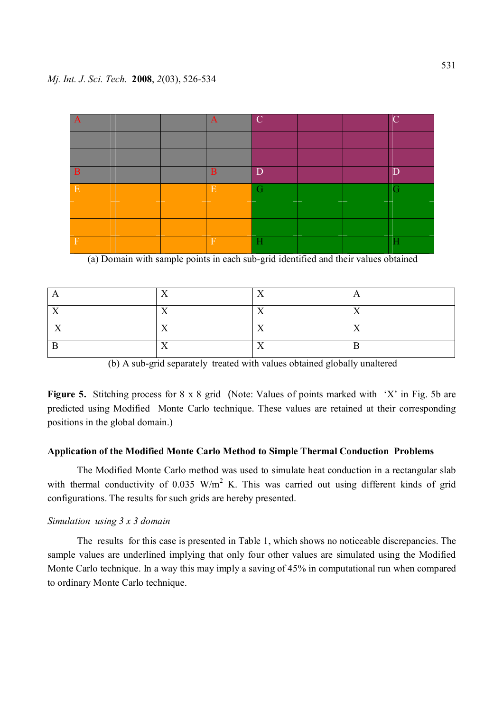| IA          |  | $\mathbf A$ | $\overline{C}$ |  | $\mathcal{C}$ |
|-------------|--|-------------|----------------|--|---------------|
|             |  |             |                |  |               |
|             |  |             |                |  |               |
| B           |  | B           | D              |  | D             |
| E           |  | E           | G              |  | G             |
|             |  |             |                |  |               |
|             |  |             |                |  |               |
| $\mathbb F$ |  | $\mathbf F$ | Ĥ              |  | Н             |

(a) Domain with sample points in each sub-grid identified and their values obtained

|     | $\mathbf{v}$ | $\mathbf{v}$ |              |
|-----|--------------|--------------|--------------|
| - - | $\mathbf{r}$ | $\mathbf{r}$ | $\mathbf{r}$ |
|     | - -          |              |              |
|     | $\mathbf{r}$ | - -          |              |



Figure 5. Stitching process for 8 x 8 grid (Note: Values of points marked with 'X' in Fig. 5b are predicted using Modified Monte Carlo technique. These values are retained at their corresponding positions in the global domain.)

## **Application of the Modified Monte Carlo Method to Simple Thermal Conduction Problems**

The Modified Monte Carlo method was used to simulate heat conduction in a rectangular slab with thermal conductivity of  $0.035$  W/m<sup>2</sup> K. This was carried out using different kinds of grid configurations. The results for such grids are hereby presented.

### *Simulation using 3 x 3 domain*

The results for this case is presented in Table 1, which shows no noticeable discrepancies. The sample values are underlined implying that only four other values are simulated using the Modified Monte Carlo technique. In a way this may imply a saving of 45% in computational run when compared to ordinary Monte Carlo technique.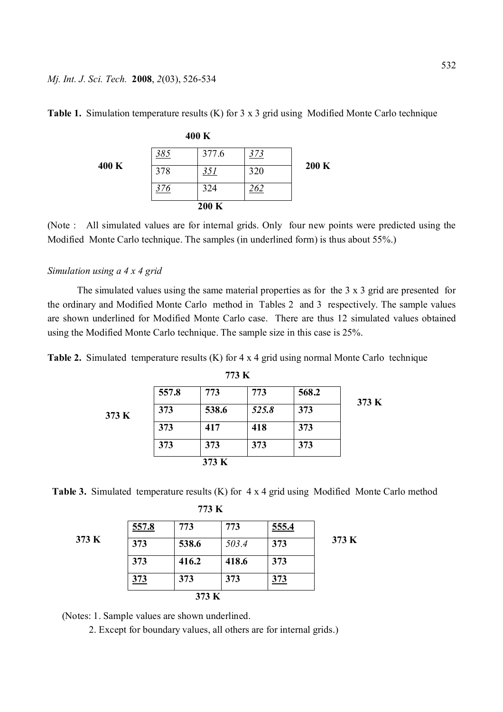#### *Mj. Int. J. Sci. Tech.* **2008**, *2*(03), 526-534

|       |     | 400 K      |     |       |
|-------|-----|------------|-----|-------|
|       | 385 | 377.6      | 373 |       |
| 400 K | 378 | <u>351</u> | 320 | 200 K |
|       | 376 | 324        | 262 |       |
|       |     | 200 K      |     |       |

**Table 1.** Simulation temperature results (K) for 3 x 3 grid using Modified Monte Carlo technique

(Note : All simulated values are for internal grids. Only four new points were predicted using the Modified Monte Carlo technique. The samples (in underlined form) is thus about 55%.)

# *Simulation using a 4 x 4 grid*

The simulated values using the same material properties as for the 3 x 3 grid are presented for the ordinary and Modified Monte Carlo method in Tables 2 and 3 respectively. The sample values are shown underlined for Modified Monte Carlo case. There are thus 12 simulated values obtained using the Modified Monte Carlo technique. The sample size in this case is 25%.

**Table 2.** Simulated temperature results (K) for 4 x 4 grid using normal Monte Carlo technique

|       |       | 119.1 |       |       |       |
|-------|-------|-------|-------|-------|-------|
|       | 557.8 | 773   | 773   | 568.2 | 373 K |
| 373 K | 373   | 538.6 | 525.8 | 373   |       |
|       | 373   | 417   | 418   | 373   |       |
|       | 373   | 373   | 373   | 373   |       |
|       |       | 373 K |       |       |       |

**773 K**

 **Table 3.** Simulated temperature results (K) for 4 x 4 grid using Modified Monte Carlo method

| ×<br>٩ |
|--------|
|--------|

|       | 557.8 | 773   | 773   | 555.4      |       |
|-------|-------|-------|-------|------------|-------|
| 373 K | 373   | 538.6 | 503.4 | 373        | 373 K |
|       | 373   | 416.2 | 418.6 | 373        |       |
|       | 373   | 373   | 373   | <u>373</u> |       |
|       |       | 373 K |       |            |       |

(Notes: 1. Sample values are shown underlined.

2. Except for boundary values, all others are for internal grids.)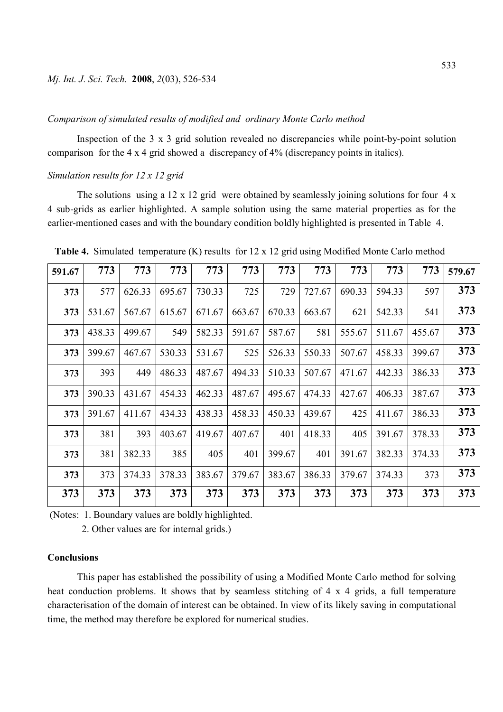#### *Comparison of simulated results of modified and ordinary Monte Carlo method*

Inspection of the 3 x 3 grid solution revealed no discrepancies while point-by-point solution comparison for the 4 x 4 grid showed a discrepancy of 4% (discrepancy points in italics).

#### *Simulation results for 12 x 12 grid*

The solutions using a 12 x 12 grid were obtained by seamlessly joining solutions for four 4 x 4 sub-grids as earlier highlighted. A sample solution using the same material properties as for the earlier-mentioned cases and with the boundary condition boldly highlighted is presented in Table 4.

| 591.67 | 773    | 773    | 773    | 773    | 773    | 773    | 773    | 773    | 773    | 773    | 579.67 |
|--------|--------|--------|--------|--------|--------|--------|--------|--------|--------|--------|--------|
| 373    | 577    | 626.33 | 695.67 | 730.33 | 725    | 729    | 727.67 | 690.33 | 594.33 | 597    | 373    |
| 373    | 531.67 | 567.67 | 615.67 | 671.67 | 663.67 | 670.33 | 663.67 | 621    | 542.33 | 541    | 373    |
| 373    | 438.33 | 499.67 | 549    | 582.33 | 591.67 | 587.67 | 581    | 555.67 | 511.67 | 455.67 | 373    |
| 373    | 399.67 | 467.67 | 530.33 | 531.67 | 525    | 526.33 | 550.33 | 507.67 | 458.33 | 399.67 | 373    |
| 373    | 393    | 449    | 486.33 | 487.67 | 494.33 | 510.33 | 507.67 | 471.67 | 442.33 | 386.33 | 373    |
| 373    | 390.33 | 431.67 | 454.33 | 462.33 | 487.67 | 495.67 | 474.33 | 427.67 | 406.33 | 387.67 | 373    |
| 373    | 391.67 | 411.67 | 434.33 | 438.33 | 458.33 | 450.33 | 439.67 | 425    | 411.67 | 386.33 | 373    |
| 373    | 381    | 393    | 403.67 | 419.67 | 407.67 | 401    | 418.33 | 405    | 391.67 | 378.33 | 373    |
| 373    | 381    | 382.33 | 385    | 405    | 401    | 399.67 | 401    | 391.67 | 382.33 | 374.33 | 373    |
| 373    | 373    | 374.33 | 378.33 | 383.67 | 379.67 | 383.67 | 386.33 | 379.67 | 374.33 | 373    | 373    |
| 373    | 373    | 373    | 373    | 373    | 373    | 373    | 373    | 373    | 373    | 373    | 373    |

 **Table 4.** Simulated temperature (K) results for 12 x 12 grid using Modified Monte Carlo method

(Notes: 1. Boundary values are boldly highlighted.

2. Other values are for internal grids.)

#### **Conclusions**

This paper has established the possibility of using a Modified Monte Carlo method for solving heat conduction problems. It shows that by seamless stitching of 4 x 4 grids, a full temperature characterisation of the domain of interest can be obtained. In view of its likely saving in computational time, the method may therefore be explored for numerical studies.